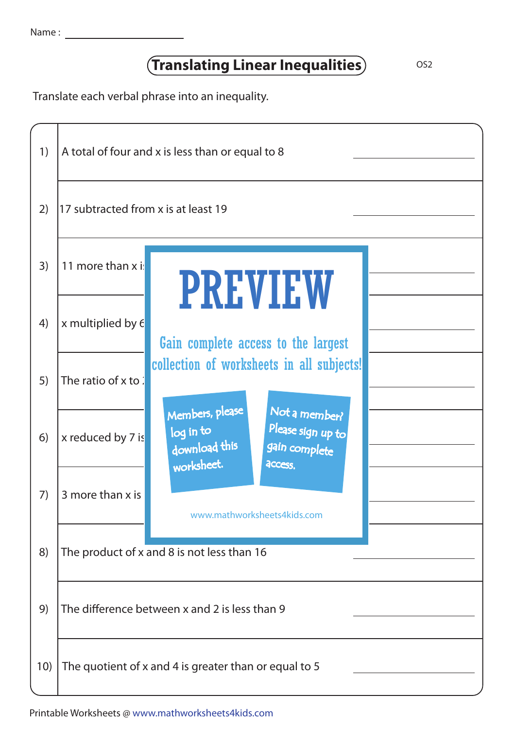## **Translating Linear Inequalities**

Translate each verbal phrase into an inequality.



Printable Worksheets @ www.mathworksheets4kids.com